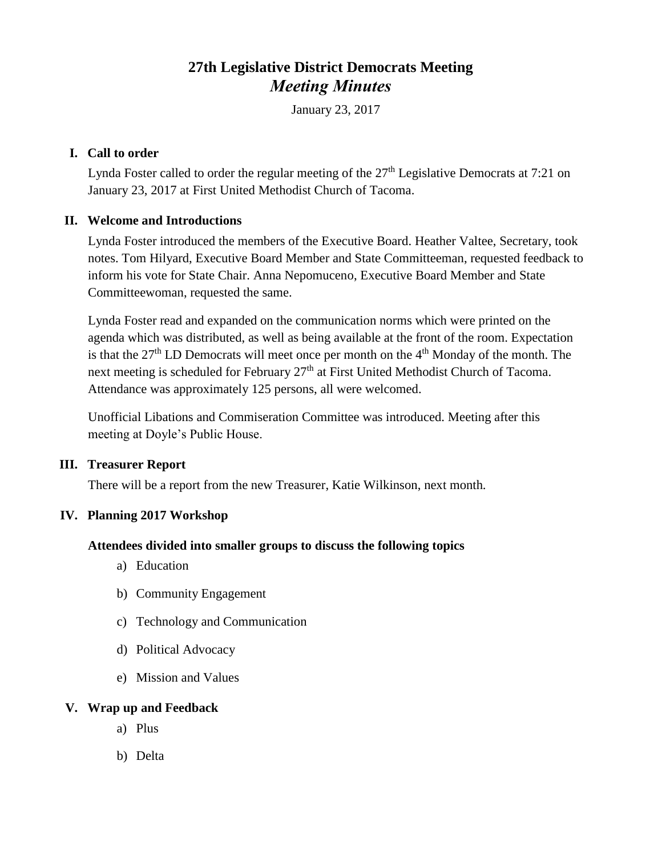# **27th Legislative District Democrats Meeting** *Meeting Minutes*

January 23, 2017

#### **I. Call to order**

Lynda Foster called to order the regular meeting of the  $27<sup>th</sup>$  Legislative Democrats at 7:21 on January 23, 2017 at First United Methodist Church of Tacoma.

# **II. Welcome and Introductions**

Lynda Foster introduced the members of the Executive Board. Heather Valtee, Secretary, took notes. Tom Hilyard, Executive Board Member and State Committeeman, requested feedback to inform his vote for State Chair. Anna Nepomuceno, Executive Board Member and State Committeewoman, requested the same.

Lynda Foster read and expanded on the communication norms which were printed on the agenda which was distributed, as well as being available at the front of the room. Expectation is that the  $27<sup>th</sup>$  LD Democrats will meet once per month on the  $4<sup>th</sup>$  Monday of the month. The next meeting is scheduled for February 27<sup>th</sup> at First United Methodist Church of Tacoma. Attendance was approximately 125 persons, all were welcomed.

Unofficial Libations and Commiseration Committee was introduced. Meeting after this meeting at Doyle's Public House.

# **III. Treasurer Report**

There will be a report from the new Treasurer, Katie Wilkinson, next month.

# **IV. Planning 2017 Workshop**

# **Attendees divided into smaller groups to discuss the following topics**

- a) Education
- b) Community Engagement
- c) Technology and Communication
- d) Political Advocacy
- e) Mission and Values

#### **V. Wrap up and Feedback**

- a) Plus
- b) Delta